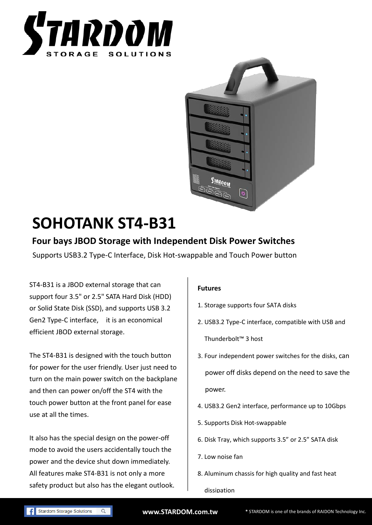



# **SOHOTANK ST4-B31**

## **Four bays JBOD Storage with Independent Disk Power Switches**

Supports USB3.2 Type-C Interface, Disk Hot-swappable and Touch Power button

ST4-B31 is a JBOD external storage that can support four 3.5" or 2.5" SATA Hard Disk (HDD) or Solid State Disk (SSD), and supports USB 3.2 Gen2 Type-C interface, it is an economical efficient JBOD external storage.

The ST4-B31 is designed with the touch button for power for the user friendly. User just need to turn on the main power switch on the backplane and then can power on/off the ST4 with the touch power button at the front panel for ease use at all the times.

It also has the special design on the power-off mode to avoid the users accidentally touch the power and the device shut down immediately. All features make ST4-B31 is not only a more safety product but also has the elegant outlook.

#### **Futures**

- 1. Storage supports four SATA disks
- 2. USB3.2 Type-C interface, compatible with USB and Thunderbolt™ 3 host
- 3. Four independent power switches for the disks, can power off disks depend on the need to save the power.
- 4. USB3.2 Gen2 interface, performance up to 10Gbps
- 5. Supports Disk Hot-swappable
- 6. Disk Tray, which supports 3.5" or 2.5" SATA disk
- 7. Low noise fan
- 8. Aluminum chassis for high quality and fast heat

dissipation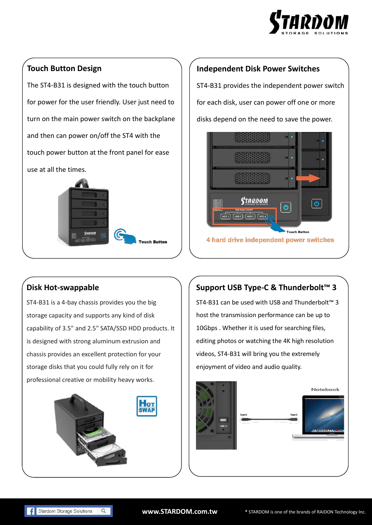

### **Touch Button Design**

The ST4-B31 is designed with the touch button for power for the user friendly. User just need to turn on the main power switch on the backplane and then can power on/off the ST4 with the touch power button at the front panel for ease use at all the times.



#### **Independent Disk Power Switches**

ST4-B31 provides the independent power switch for each disk, user can power off one or more disks depend on the need to save the power.



#### **Disk Hot-swappable**

ST4-B31 is a 4-bay chassis provides you the big storage capacity and supports any kind of disk capability of 3.5" and 2.5" SATA/SSD HDD products. It is designed with strong aluminum extrusion and chassis provides an excellent protection for your storage disks that you could fully rely on it for professional creative or mobility heavy works.



## **Support USB Type-C & Thunderbolt™ 3**

ST4-B31 can be used with USB and Thunderbolt™ 3 host the transmission performance can be up to 10Gbps . Whether it is used for searching files, editing photos or watching the 4K high resolution videos, ST4-B31 will bring you the extremely enjoyment of video and audio quality.